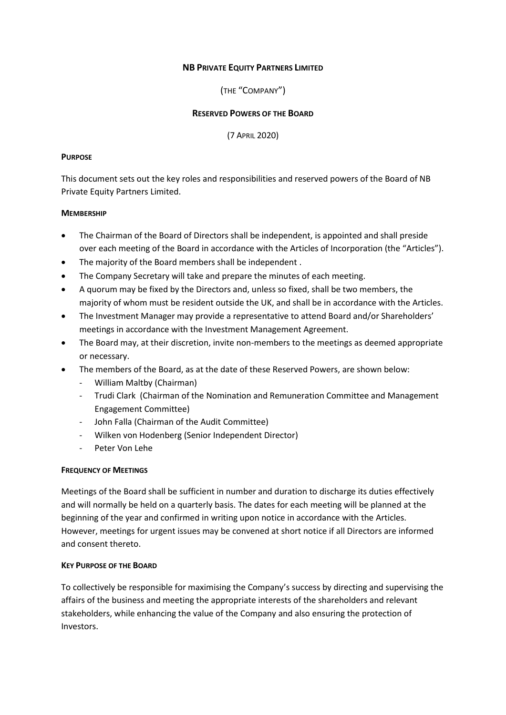### **NB PRIVATE EQUITY PARTNERS LIMITED**

(THE "COMPANY")

#### **RESERVED POWERS OF THE BOARD**

(7 APRIL 2020)

#### **PURPOSE**

This document sets out the key roles and responsibilities and reserved powers of the Board of NB Private Equity Partners Limited.

### **MEMBERSHIP**

- The Chairman of the Board of Directors shall be independent, is appointed and shall preside over each meeting of the Board in accordance with the Articles of Incorporation (the "Articles").
- The majority of the Board members shall be independent .
- The Company Secretary will take and prepare the minutes of each meeting.
- A quorum may be fixed by the Directors and, unless so fixed, shall be two members, the majority of whom must be resident outside the UK, and shall be in accordance with the Articles.
- The Investment Manager may provide a representative to attend Board and/or Shareholders' meetings in accordance with the Investment Management Agreement.
- The Board may, at their discretion, invite non-members to the meetings as deemed appropriate or necessary.
- The members of the Board, as at the date of these Reserved Powers, are shown below:
	- William Maltby (Chairman)
	- Trudi Clark (Chairman of the Nomination and Remuneration Committee and Management Engagement Committee)
	- John Falla (Chairman of the Audit Committee)
	- Wilken von Hodenberg (Senior Independent Director)
	- Peter Von Lehe

## **FREQUENCY OF MEETINGS**

Meetings of the Board shall be sufficient in number and duration to discharge its duties effectively and will normally be held on a quarterly basis. The dates for each meeting will be planned at the beginning of the year and confirmed in writing upon notice in accordance with the Articles. However, meetings for urgent issues may be convened at short notice if all Directors are informed and consent thereto.

#### **KEY PURPOSE OF THE BOARD**

To collectively be responsible for maximising the Company's success by directing and supervising the affairs of the business and meeting the appropriate interests of the shareholders and relevant stakeholders, while enhancing the value of the Company and also ensuring the protection of Investors.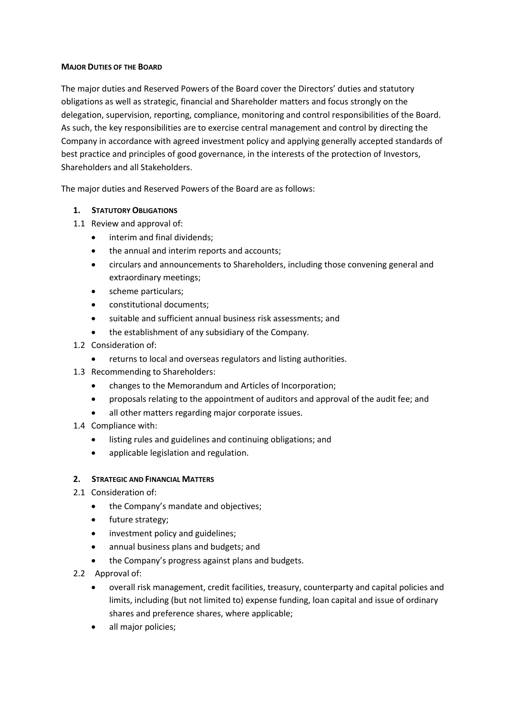#### **MAJOR DUTIES OF THE BOARD**

The major duties and Reserved Powers of the Board cover the Directors' duties and statutory obligations as well as strategic, financial and Shareholder matters and focus strongly on the delegation, supervision, reporting, compliance, monitoring and control responsibilities of the Board. As such, the key responsibilities are to exercise central management and control by directing the Company in accordance with agreed investment policy and applying generally accepted standards of best practice and principles of good governance, in the interests of the protection of Investors, Shareholders and all Stakeholders.

The major duties and Reserved Powers of the Board are as follows:

# **1. STATUTORY OBLIGATIONS**

1.1 Review and approval of:

- interim and final dividends;
- the annual and interim reports and accounts;
- circulars and announcements to Shareholders, including those convening general and extraordinary meetings;
- scheme particulars;
- constitutional documents;
- suitable and sufficient annual business risk assessments; and
- the establishment of any subsidiary of the Company.
- 1.2 Consideration of:
	- returns to local and overseas regulators and listing authorities.
- 1.3 Recommending to Shareholders:
	- changes to the Memorandum and Articles of Incorporation;
	- proposals relating to the appointment of auditors and approval of the audit fee; and
	- all other matters regarding major corporate issues.
- 1.4 Compliance with:
	- listing rules and guidelines and continuing obligations; and
	- applicable legislation and regulation.

## **2. STRATEGIC AND FINANCIAL MATTERS**

- 2.1 Consideration of:
	- the Company's mandate and objectives;
	- future strategy;
	- investment policy and guidelines;
	- annual business plans and budgets; and
	- the Company's progress against plans and budgets.
- 2.2 Approval of:
	- overall risk management, credit facilities, treasury, counterparty and capital policies and limits, including (but not limited to) expense funding, loan capital and issue of ordinary shares and preference shares, where applicable;
	- all major policies;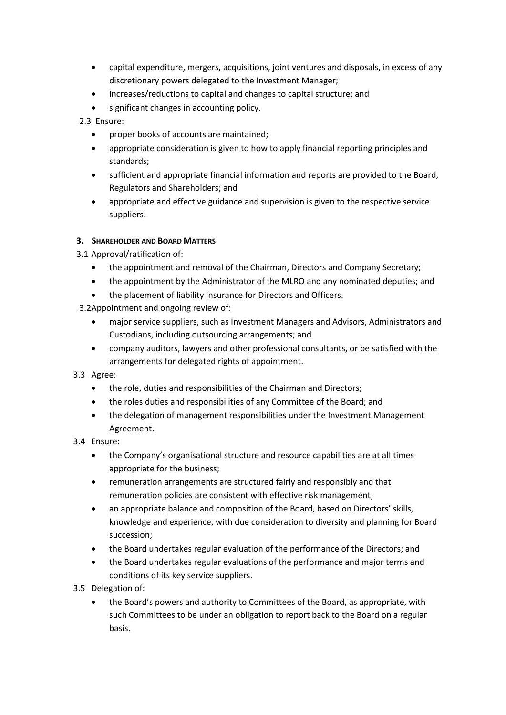- capital expenditure, mergers, acquisitions, joint ventures and disposals, in excess of any discretionary powers delegated to the Investment Manager;
- increases/reductions to capital and changes to capital structure; and
- significant changes in accounting policy.

2.3 Ensure:

- proper books of accounts are maintained;
- appropriate consideration is given to how to apply financial reporting principles and standards;
- sufficient and appropriate financial information and reports are provided to the Board, Regulators and Shareholders; and
- appropriate and effective guidance and supervision is given to the respective service suppliers.

## **3. SHAREHOLDER AND BOARD MATTERS**

- 3.1 Approval/ratification of:
	- the appointment and removal of the Chairman, Directors and Company Secretary;
	- the appointment by the Administrator of the MLRO and any nominated deputies; and
	- the placement of liability insurance for Directors and Officers.
- 3.2Appointment and ongoing review of:
	- major service suppliers, such as Investment Managers and Advisors, Administrators and Custodians, including outsourcing arrangements; and
	- company auditors, lawyers and other professional consultants, or be satisfied with the arrangements for delegated rights of appointment.
- 3.3 Agree:
	- the role, duties and responsibilities of the Chairman and Directors;
	- the roles duties and responsibilities of any Committee of the Board; and
	- the delegation of management responsibilities under the Investment Management Agreement.
- 3.4 Ensure:
	- the Company's organisational structure and resource capabilities are at all times appropriate for the business;
	- remuneration arrangements are structured fairly and responsibly and that remuneration policies are consistent with effective risk management;
	- an appropriate balance and composition of the Board, based on Directors' skills, knowledge and experience, with due consideration to diversity and planning for Board succession;
	- the Board undertakes regular evaluation of the performance of the Directors; and
	- the Board undertakes regular evaluations of the performance and major terms and conditions of its key service suppliers.
- 3.5 Delegation of:
	- the Board's powers and authority to Committees of the Board, as appropriate, with such Committees to be under an obligation to report back to the Board on a regular basis.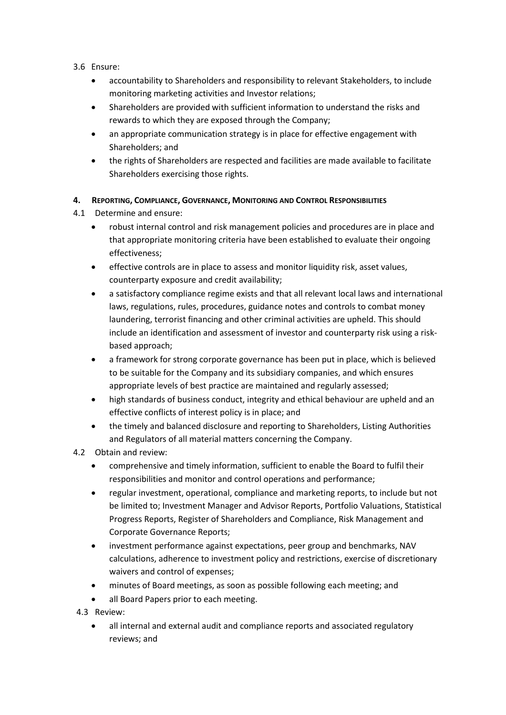- 3.6 Ensure:
	- accountability to Shareholders and responsibility to relevant Stakeholders, to include monitoring marketing activities and Investor relations;
	- Shareholders are provided with sufficient information to understand the risks and rewards to which they are exposed through the Company;
	- an appropriate communication strategy is in place for effective engagement with Shareholders; and
	- the rights of Shareholders are respected and facilities are made available to facilitate Shareholders exercising those rights.

# **4. REPORTING, COMPLIANCE, GOVERNANCE, MONITORING AND CONTROL RESPONSIBILITIES**

- 4.1 Determine and ensure:
	- robust internal control and risk management policies and procedures are in place and that appropriate monitoring criteria have been established to evaluate their ongoing effectiveness;
	- effective controls are in place to assess and monitor liquidity risk, asset values, counterparty exposure and credit availability;
	- a satisfactory compliance regime exists and that all relevant local laws and international laws, regulations, rules, procedures, guidance notes and controls to combat money laundering, terrorist financing and other criminal activities are upheld. This should include an identification and assessment of investor and counterparty risk using a riskbased approach;
	- a framework for strong corporate governance has been put in place, which is believed to be suitable for the Company and its subsidiary companies, and which ensures appropriate levels of best practice are maintained and regularly assessed;
	- high standards of business conduct, integrity and ethical behaviour are upheld and an effective conflicts of interest policy is in place; and
	- the timely and balanced disclosure and reporting to Shareholders, Listing Authorities and Regulators of all material matters concerning the Company.
- 4.2 Obtain and review:
	- comprehensive and timely information, sufficient to enable the Board to fulfil their responsibilities and monitor and control operations and performance;
	- regular investment, operational, compliance and marketing reports, to include but not be limited to; Investment Manager and Advisor Reports, Portfolio Valuations, Statistical Progress Reports, Register of Shareholders and Compliance, Risk Management and Corporate Governance Reports;
	- investment performance against expectations, peer group and benchmarks, NAV calculations, adherence to investment policy and restrictions, exercise of discretionary waivers and control of expenses;
	- minutes of Board meetings, as soon as possible following each meeting; and
	- all Board Papers prior to each meeting.
- 4.3 Review:
	- all internal and external audit and compliance reports and associated regulatory reviews; and